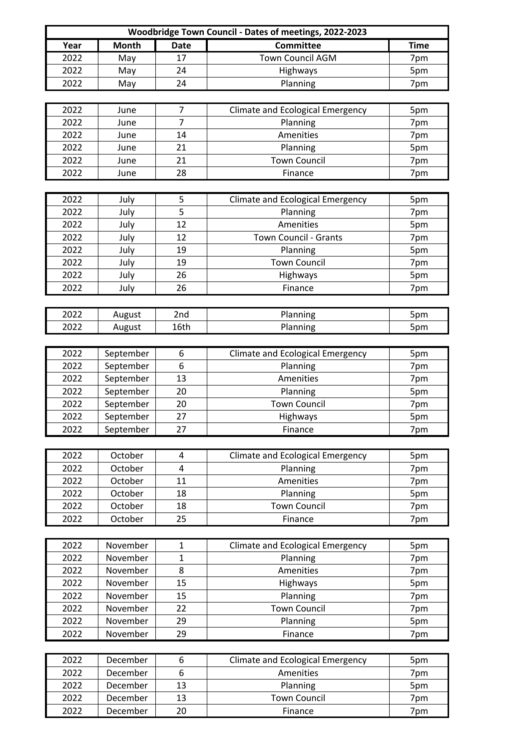| Woodbridge Town Council - Dates of meetings, 2022-2023 |              |                |                                         |             |  |  |  |
|--------------------------------------------------------|--------------|----------------|-----------------------------------------|-------------|--|--|--|
| Year                                                   | <b>Month</b> | <b>Date</b>    | <b>Committee</b>                        | <b>Time</b> |  |  |  |
| 2022                                                   | May          | 17             | <b>Town Council AGM</b>                 | 7pm         |  |  |  |
| 2022                                                   | May          | 24             | Highways                                | 5pm         |  |  |  |
| 2022                                                   | May          | 24             | Planning                                | 7pm         |  |  |  |
|                                                        |              |                |                                         |             |  |  |  |
| 2022                                                   | June         | 7              | <b>Climate and Ecological Emergency</b> | 5pm         |  |  |  |
| 2022                                                   | June         | $\overline{7}$ | Planning                                | 7pm         |  |  |  |
| 2022                                                   | June         | 14             | Amenities                               | 7pm         |  |  |  |
| 2022                                                   | June         | 21             | Planning                                | 5pm         |  |  |  |
| 2022                                                   | June         | 21             | <b>Town Council</b>                     | 7pm         |  |  |  |
| 2022                                                   | June         | 28             | Finance                                 | 7pm         |  |  |  |
|                                                        |              |                |                                         |             |  |  |  |
| 2022                                                   | July         | 5              | <b>Climate and Ecological Emergency</b> | 5pm         |  |  |  |
| 2022                                                   | July         | 5              | Planning                                | 7pm         |  |  |  |
| 2022                                                   | July         | 12             | Amenities                               | 5pm         |  |  |  |
| 2022                                                   | July         | 12             | <b>Town Council - Grants</b>            | 7pm         |  |  |  |
| 2022                                                   | July         | 19             | Planning                                | 5pm         |  |  |  |
| 2022                                                   | July         | 19             | <b>Town Council</b>                     | 7pm         |  |  |  |
| 2022                                                   | July         | 26             | Highways                                | 5pm         |  |  |  |
| 2022                                                   | July         | 26             | Finance                                 |             |  |  |  |
|                                                        |              |                |                                         | 7pm         |  |  |  |
|                                                        |              |                |                                         |             |  |  |  |
| 2022                                                   | August       | 2nd            | Planning                                | 5pm         |  |  |  |
| 2022                                                   | August       | 16th           | Planning                                | 5pm         |  |  |  |
|                                                        |              |                |                                         |             |  |  |  |
| 2022                                                   | September    | 6              | <b>Climate and Ecological Emergency</b> | 5pm         |  |  |  |
| 2022                                                   | September    | 6              | Planning                                | 7pm         |  |  |  |
| 2022                                                   | September    | 13             | Amenities                               | 7pm         |  |  |  |
| 2022                                                   | September    | 20             | Planning                                | 5pm         |  |  |  |
| 2022                                                   | September    | 20             | <b>Town Council</b>                     | 7pm         |  |  |  |
| 2022                                                   | September    | 27             | Highways                                | 5pm         |  |  |  |
| 2022                                                   | September    | 27             | Finance                                 | 7pm         |  |  |  |
|                                                        |              |                |                                         |             |  |  |  |
| 2022                                                   | October      | 4              | <b>Climate and Ecological Emergency</b> | 5pm         |  |  |  |
| 2022                                                   | October      | 4              | Planning                                | 7pm         |  |  |  |
| 2022                                                   | October      | 11             | Amenities                               | 7pm         |  |  |  |
| 2022                                                   | October      | 18             | Planning                                | 5pm         |  |  |  |
| 2022                                                   | October      | 18             | <b>Town Council</b>                     | 7pm         |  |  |  |
| 2022                                                   | October      | 25             | Finance                                 | 7pm         |  |  |  |
|                                                        |              |                |                                         |             |  |  |  |
| 2022                                                   | November     | 1              | <b>Climate and Ecological Emergency</b> | 5pm         |  |  |  |
| 2022                                                   | November     | 1              | Planning                                | 7pm         |  |  |  |
| 2022                                                   | November     | 8              | Amenities                               | 7pm         |  |  |  |
| 2022                                                   | November     | 15             | Highways                                | 5pm         |  |  |  |
| 2022                                                   | November     | 15             | Planning                                | 7pm         |  |  |  |
| 2022                                                   | November     | 22             | <b>Town Council</b>                     | 7pm         |  |  |  |
| 2022                                                   | November     | 29             | Planning                                | 5pm         |  |  |  |
| 2022                                                   | November     | 29             | Finance                                 | 7pm         |  |  |  |
|                                                        |              |                |                                         |             |  |  |  |
| 2022                                                   | December     | 6              | <b>Climate and Ecological Emergency</b> | 5pm         |  |  |  |
| 2022                                                   | December     | 6              | Amenities                               | 7pm         |  |  |  |
| 2022                                                   | December     | 13             | Planning                                | 5pm         |  |  |  |
| 2022                                                   | December     | 13             | <b>Town Council</b>                     | 7pm         |  |  |  |
| 2022                                                   | December     | 20             | Finance                                 | 7pm         |  |  |  |